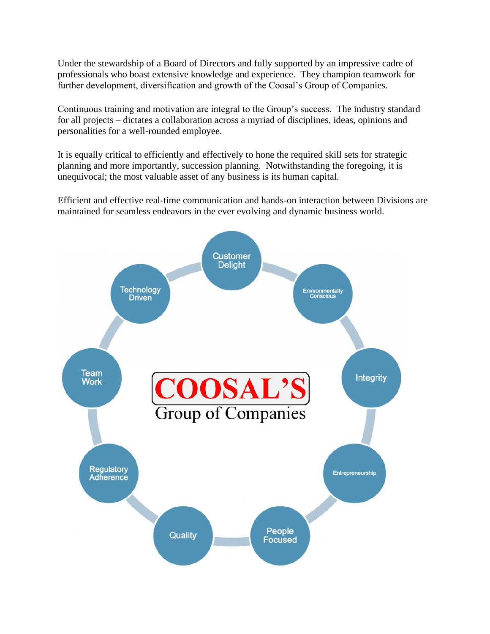Under the stewardship of a Board of Directors and fully supported by an impressive cadre of professionals who boast extensive knowledge and experience. They champion teamwork for further development, diversification and growth of the Coosal's Group of Companies.

Continuous training and motivation are integral to the Group's success. The industry standard for all projects – dictates a collaboration across a myriad of disciplines, ideas, opinions and personalities for a well-rounded employee.

It is equally critical to efficiently and effectively to hone the required skill sets for strategic planning and more importantly, succession planning. Notwithstanding the foregoing, it is unequivocal; the most valuable asset of any business is its human capital.

Efficient and effective real-time communication and hands-on interaction between Divisions are maintained for seamless endeavors in the ever evolving and dynamic business world.

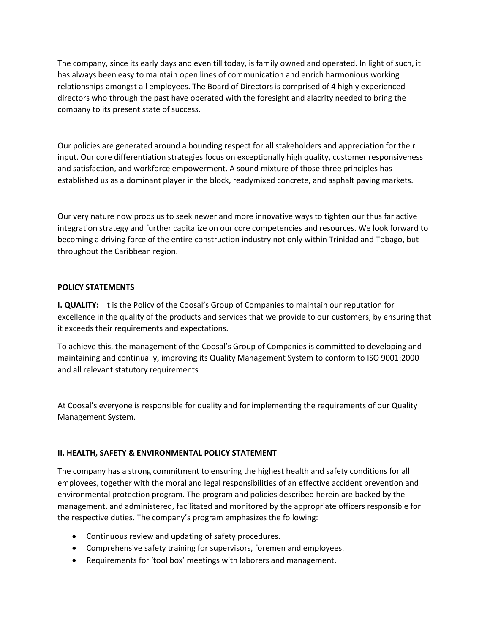The company, since its early days and even till today, is family owned and operated. In light of such, it has always been easy to maintain open lines of communication and enrich harmonious working relationships amongst all employees. The Board of Directors is comprised of 4 highly experienced directors who through the past have operated with the foresight and alacrity needed to bring the company to its present state of success.

Our policies are generated around a bounding respect for all stakeholders and appreciation for their input. Our core differentiation strategies focus on exceptionally high quality, customer responsiveness and satisfaction, and workforce empowerment. A sound mixture of those three principles has established us as a dominant player in the block, readymixed concrete, and asphalt paving markets.

Our very nature now prods us to seek newer and more innovative ways to tighten our thus far active integration strategy and further capitalize on our core competencies and resources. We look forward to becoming a driving force of the entire construction industry not only within Trinidad and Tobago, but throughout the Caribbean region.

## **POLICY STATEMENTS**

**I. QUALITY:** It is the Policy of the Coosal's Group of Companies to maintain our reputation for excellence in the quality of the products and services that we provide to our customers, by ensuring that it exceeds their requirements and expectations.

To achieve this, the management of the Coosal's Group of Companies is committed to developing and maintaining and continually, improving its Quality Management System to conform to ISO 9001:2000 and all relevant statutory requirements

At Coosal's everyone is responsible for quality and for implementing the requirements of our Quality Management System.

## **II. HEALTH, SAFETY & ENVIRONMENTAL POLICY STATEMENT**

The company has a strong commitment to ensuring the highest health and safety conditions for all employees, together with the moral and legal responsibilities of an effective accident prevention and environmental protection program. The program and policies described herein are backed by the management, and administered, facilitated and monitored by the appropriate officers responsible for the respective duties. The company's program emphasizes the following:

- Continuous review and updating of safety procedures.
- Comprehensive safety training for supervisors, foremen and employees.
- Requirements for 'tool box' meetings with laborers and management.